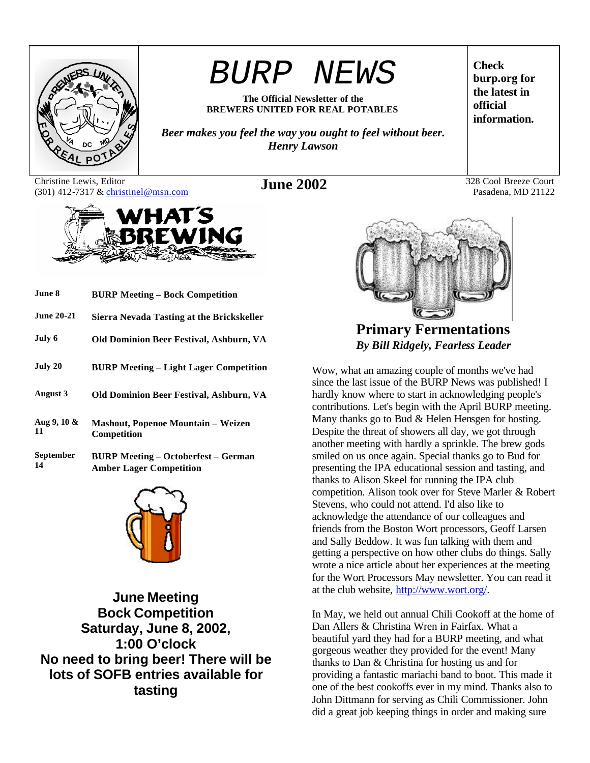

# *BURP NEWS*

**The Official Newsletter of the BREWERS UNITED FOR REAL POTABLES**

*Beer makes you feel the way you ought to feel without beer. Henry Lawson*

Christine Lewis, Editor Christine Lewis, Editor **June 2002** 328 Cool Breeze Court (301) 412-7317 & christinel@msn.com **June 2002** 328 Cool Breeze Court



| June 8                 | <b>BURP Meeting - Bock Competition</b>                                       |
|------------------------|------------------------------------------------------------------------------|
| <b>June 20-21</b>      | <b>Sierra Nevada Tasting at the Brickskeller</b>                             |
| July 6                 | Old Dominion Beer Festival, Ashburn, VA                                      |
| July 20                | <b>BURP Meeting – Light Lager Competition</b>                                |
| August 3               | Old Dominion Beer Festival, Ashburn, VA                                      |
| Aug 9, $10 \&$<br>11   | <b>Mashout, Popenoe Mountain – Weizen</b><br>Competition                     |
| <b>September</b><br>14 | <b>BURP Meeting – Octoberfest – German</b><br><b>Amber Lager Competition</b> |



**June Meeting Bock Competition Saturday, June 8, 2002, 1:00 O'clock No need to bring beer! There will be lots of SOFB entries available for tasting**

**Check burp.org for the latest in official information.**

Pasadena, MD 21122



**Primary Fermentations** *By Bill Ridgely, Fearless Leader*

Wow, what an amazing couple of months we've had since the last issue of the BURP News was published! I hardly know where to start in acknowledging people's contributions. Let's begin with the April BURP meeting. Many thanks go to Bud & Helen Hensgen for hosting. Despite the threat of showers all day, we got through another meeting with hardly a sprinkle. The brew gods smiled on us once again. Special thanks go to Bud for presenting the IPA educational session and tasting, and thanks to Alison Skeel for running the IPA club competition. Alison took over for Steve Marler & Robert Stevens, who could not attend. I'd also like to acknowledge the attendance of our colleagues and friends from the Boston Wort processors, Geoff Larsen and Sally Beddow. It was fun talking with them and getting a perspective on how other clubs do things. Sally wrote a nice article about her experiences at the meeting for the Wort Processors May newsletter. You can read it at the club website, http://www.wort.org/.

In May, we held out annual Chili Cookoff at the home of Dan Allers & Christina Wren in Fairfax. What a beautiful yard they had for a BURP meeting, and what gorgeous weather they provided for the event! Many thanks to Dan & Christina for hosting us and for providing a fantastic mariachi band to boot. This made it one of the best cookoffs ever in my mind. Thanks also to John Dittmann for serving as Chili Commissioner. John did a great job keeping things in order and making sure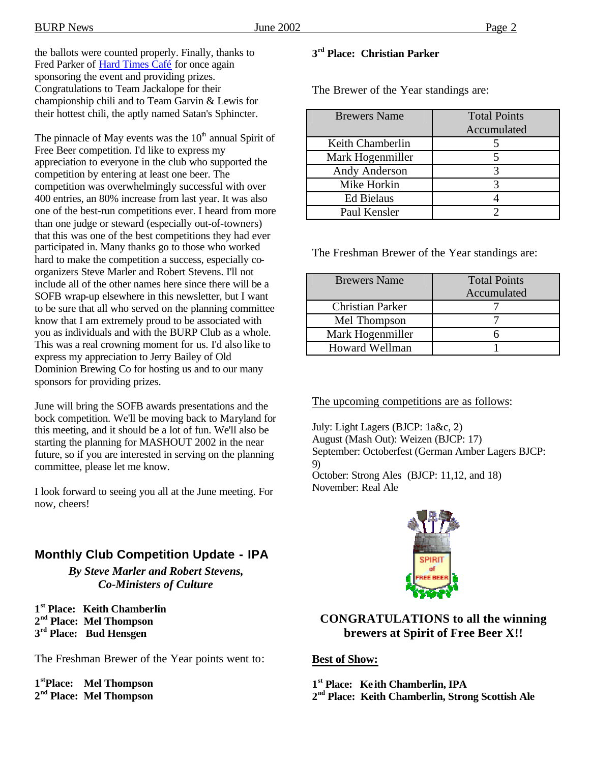the ballots were counted properly. Finally, thanks to Fred Parker of Hard Times Café for once again sponsoring the event and providing prizes. Congratulations to Team Jackalope for their championship chili and to Team Garvin & Lewis for their hottest chili, the aptly named Satan's Sphincter.

The pinnacle of May events was the  $10<sup>th</sup>$  annual Spirit of Free Beer competition. I'd like to express my appreciation to everyone in the club who supported the competition by entering at least one beer. The competition was overwhelmingly successful with over 400 entries, an 80% increase from last year. It was also one of the best-run competitions ever. I heard from more than one judge or steward (especially out-of-towners) that this was one of the best competitions they had ever participated in. Many thanks go to those who worked hard to make the competition a success, especially coorganizers Steve Marler and Robert Stevens. I'll not include all of the other names here since there will be a SOFB wrap-up elsewhere in this newsletter, but I want to be sure that all who served on the planning committee know that I am extremely proud to be associated with you as individuals and with the BURP Club as a whole. This was a real crowning moment for us. I'd also like to express my appreciation to Jerry Bailey of Old Dominion Brewing Co for hosting us and to our many sponsors for providing prizes.

June will bring the SOFB awards presentations and the bock competition. We'll be moving back to Maryland for this meeting, and it should be a lot of fun. We'll also be starting the planning for MASHOUT 2002 in the near future, so if you are interested in serving on the planning committee, please let me know.

I look forward to seeing you all at the June meeting. For now, cheers!

### **Monthly Club Competition Update - IPA**

*By Steve Marler and Robert Stevens, Co-Ministers of Culture*

**1 st Place: Keith Chamberlin 2 nd Place: Mel Thompson 3 rd Place: Bud Hensgen**

The Freshman Brewer of the Year points went to:

**1 stPlace: Mel Thompson 2 nd Place: Mel Thompson**

### **3 rd Place: Christian Parker**

The Brewer of the Year standings are:

| <b>Brewers Name</b> | <b>Total Points</b> |  |
|---------------------|---------------------|--|
|                     | Accumulated         |  |
| Keith Chamberlin    |                     |  |
| Mark Hogenmiller    |                     |  |
| Andy Anderson       |                     |  |
| Mike Horkin         |                     |  |
| <b>Ed Bielaus</b>   |                     |  |
| Paul Kensler        |                     |  |

The Freshman Brewer of the Year standings are:

| <b>Brewers</b> Name     | <b>Total Points</b><br>Accumulated |
|-------------------------|------------------------------------|
| <b>Christian Parker</b> |                                    |
| Mel Thompson            |                                    |
| Mark Hogenmiller        |                                    |
| <b>Howard Wellman</b>   |                                    |

The upcoming competitions are as follows:

July: Light Lagers (BJCP: 1a&c, 2) August (Mash Out): Weizen (BJCP: 17) September: Octoberfest (German Amber Lagers BJCP: 9) October: Strong Ales (BJCP: 11,12, and 18)

November: Real Ale



### **CONGRATULATIONS to all the winning brewers at Spirit of Free Beer X!!**

### **Best of Show:**

**1 st Place: Ke ith Chamberlin, IPA**

**2 nd Place: Keith Chamberlin, Strong Scottish Ale**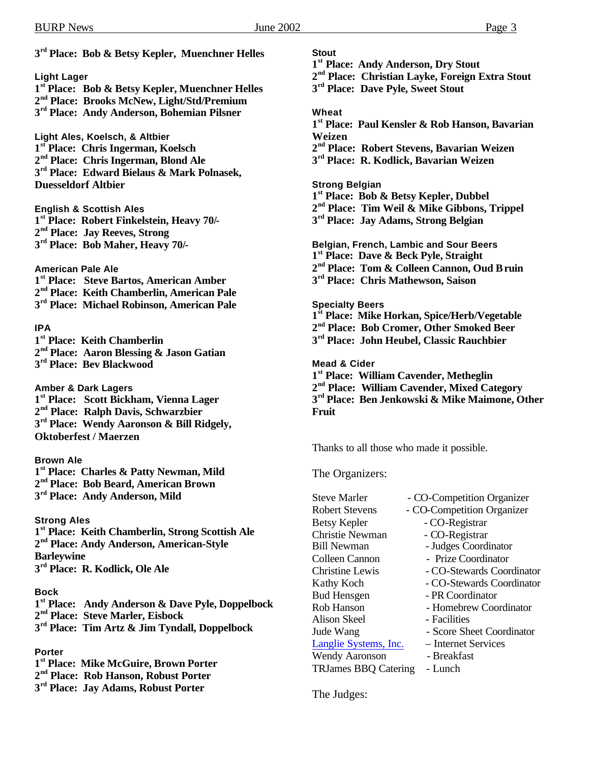**3 rd Place: Bob & Betsy Kepler, Muenchner Helles**

#### **Light Lager**

- **1 st Place: Bob & Betsy Kepler, Muenchner Helles 2 nd Place: Brooks McNew, Light/Std/Premium**
- **3 rd Place: Andy Anderson, Bohemian Pilsner**

**Light Ales, Koelsch, & Altbier 1 st Place: Chris Ingerman, Koelsch 2 nd Place: Chris Ingerman, Blond Ale 3 rd Place: Edward Bielaus & Mark Polnasek, Duesseldorf Altbier**

**English & Scottish Ales**

- **1 st Place: Robert Finkelstein, Heavy 70/- 2 nd Place: Jay Reeves, Strong 3 rd Place: Bob Maher, Heavy 70/-**
- **American Pale Ale**
- **1 st Place: Steve Bartos, American Amber 2 nd Place: Keith Chamberlin, American Pale 3 rd Place: Michael Robinson, American Pale**

#### **IPA**

**1 st Place: Keith Chamberlin 2 nd Place: Aaron Blessing & Jason Gatian 3 rd Place: Bev Blackwood**

**Amber & Dark Lagers 1 st Place: Scott Bickham, Vienna Lager 2 nd Place: Ralph Davis, Schwarzbier 3 rd Place: Wendy Aaronson & Bill Ridgely, Oktoberfest / Maerzen**

#### **Brown Ale**

**1 st Place: Charles & Patty Newman, Mild 2 nd Place: Bob Beard, American Brown 3 rd Place: Andy Anderson, Mild**

### **Strong Ales**

 **st Place: Keith Chamberlin, Strong Scottish Ale nd Place: Andy Anderson, American-Style Barleywine rd Place: R. Kodlick, Ole Ale**

#### **Bock**

**1 st Place: Andy Anderson & Dave Pyle, Doppelbock 2 nd Place: Steve Marler, Eisbock**

**3 rd Place: Tim Artz & Jim Tyndall, Doppelbock**

#### **Porter**

**1 st Place: Mike McGuire, Brown Porter 2 nd Place: Rob Hanson, Robust Porter 3 rd Place: Jay Adams, Robust Porter**

#### **Stout**

- **1 st Place: Andy Anderson, Dry Stout**
- **2 nd Place: Christian Layke, Foreign Extra Stout**
- **3 rd Place: Dave Pyle, Sweet Stout**

#### **Wheat**

- **1 st Place: Paul Kensler & Rob Hanson, Bavarian Weizen**
- **2 nd Place: Robert Stevens, Bavarian Weizen**
- **3 rd Place: R. Kodlick, Bavarian Weizen**

#### **Strong Belgian**

**1 st Place: Bob & Betsy Kepler, Dubbel**

- **2 nd Place: Tim Weil & Mike Gibbons, Trippel**
- **3 rd Place: Jay Adams, Strong Belgian**

**Belgian, French, Lambic and Sour Beers 1 st Place: Dave & Beck Pyle, Straight 2 nd Place: Tom & Colleen Cannon, Oud Bruin 3 rd Place: Chris Mathewson, Saison Specialty Beers**

**1 st Place: Mike Horkan, Spice/Herb/Vegetable**

**2 nd Place: Bob Cromer, Other Smoked Beer**

**3 rd Place: John Heubel, Classic Rauchbier**

**Mead & Cider**

 **st Place: William Cavender, Metheglin nd Place: William Cavender, Mixed Category rd Place: Ben Jenkowski & Mike Maimone, Other Fruit**

Thanks to all those who made it possible.

The Organizers:

Steve Marler - CO-Competition Organizer Robert Stevens - CO-Competition Organizer Betsy Kepler - CO-Registrar Christie Newman - CO-Registrar<br>
Bill Newman - Judges Coordi - Judges Coordinator Colleen Cannon - Prize Coordinator Christine Lewis - CO-Stewards Coordinator Kathy Koch - CO-Stewards Coordinator Bud Hensgen - PR Coordinator Rob Hanson - Homebrew Coordinator Alison Skeel - Facilities Jude Wang - Score Sheet Coordinator Langlie Systems, Inc. – Internet Services Wendy Aaronson - Breakfast TRJames BBQ Catering - Lunch

The Judges: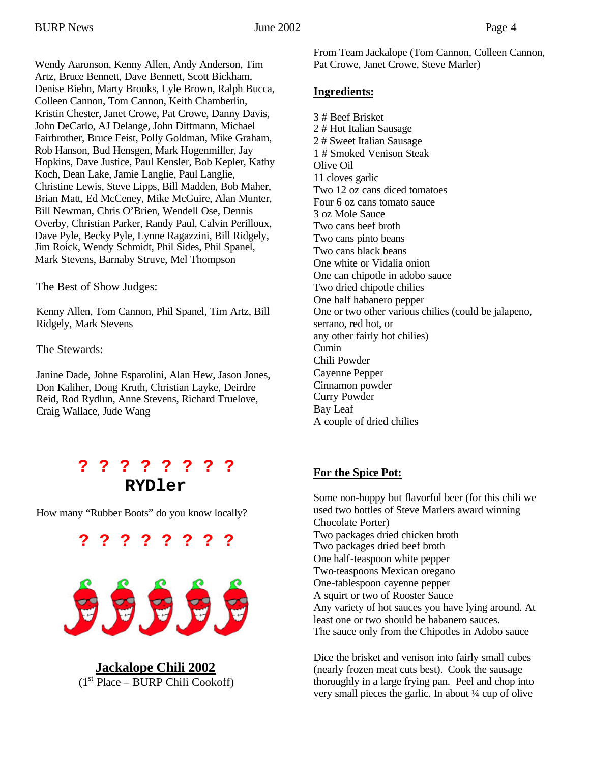Wendy Aaronson, Kenny Allen, Andy Anderson, Tim Artz, Bruce Bennett, Dave Bennett, Scott Bickham, Denise Biehn, Marty Brooks, Lyle Brown, Ralph Bucca, Colleen Cannon, Tom Cannon, Keith Chamberlin, Kristin Chester, Janet Crowe, Pat Crowe, Danny Davis, John DeCarlo, AJ Delange, John Dittmann, Michael Fairbrother, Bruce Feist, Polly Goldman, Mike Graham, Rob Hanson, Bud Hensgen, Mark Hogenmiller, Jay Hopkins, Dave Justice, Paul Kensler, Bob Kepler, Kathy Koch, Dean Lake, Jamie Langlie, Paul Langlie, Christine Lewis, Steve Lipps, Bill Madden, Bob Maher, Brian Matt, Ed McCeney, Mike McGuire, Alan Munter, Bill Newman, Chris O'Brien, Wendell Ose, Dennis Overby, Christian Parker, Randy Paul, Calvin Perilloux, Dave Pyle, Becky Pyle, Lynne Ragazzini, Bill Ridgely, Jim Roick, Wendy Schmidt, Phil Sides, Phil Spanel, Mark Stevens, Barnaby Struve, Mel Thompson

The Best of Show Judges:

Kenny Allen, Tom Cannon, Phil Spanel, Tim Artz, Bill Ridgely, Mark Stevens

The Stewards:

Janine Dade, Johne Esparolini, Alan Hew, Jason Jones, Don Kaliher, Doug Kruth, Christian Layke, Deirdre Reid, Rod Rydlun, Anne Stevens, Richard Truelove, Craig Wallace, Jude Wang

## **? ? ? ? ? ? ? ? RYDler**

How many "Rubber Boots" do you know locally?



**? ? ? ? ? ? ? ?**

**Jackalope Chili 2002**  $(1<sup>st</sup> Place – BURP Chili Cookoff)$ 

From Team Jackalope (Tom Cannon, Colleen Cannon, Pat Crowe, Janet Crowe, Steve Marler)

#### **Ingredients:**

3 # Beef Brisket 2 # Hot Italian Sausage 2 # Sweet Italian Sausage 1 # Smoked Venison Steak Olive Oil 11 cloves garlic Two 12 oz cans diced tomatoes Four 6 oz cans tomato sauce 3 oz Mole Sauce Two cans beef broth Two cans pinto beans Two cans black beans One white or Vidalia onion One can chipotle in adobo sauce Two dried chipotle chilies One half habanero pepper One or two other various chilies (could be jalapeno, serrano, red hot, or any other fairly hot chilies) Cumin Chili Powder Cayenne Pepper Cinnamon powder Curry Powder Bay Leaf A couple of dried chilies

### **For the Spice Pot:**

Some non-hoppy but flavorful beer (for this chili we used two bottles of Steve Marlers award winning Chocolate Porter) Two packages dried chicken broth Two packages dried beef broth One half-teaspoon white pepper Two-teaspoons Mexican oregano One-tablespoon cayenne pepper A squirt or two of Rooster Sauce Any variety of hot sauces you have lying around. At least one or two should be habanero sauces. The sauce only from the Chipotles in Adobo sauce

Dice the brisket and venison into fairly small cubes (nearly frozen meat cuts best). Cook the sausage thoroughly in a large frying pan. Peel and chop into very small pieces the garlic. In about ¼ cup of olive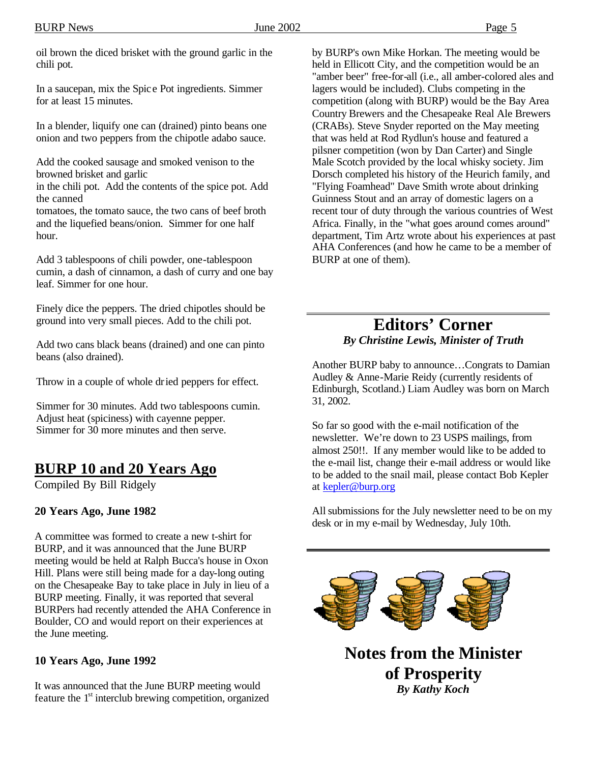oil brown the diced brisket with the ground garlic in the chili pot.

In a saucepan, mix the Spic e Pot ingredients. Simmer for at least 15 minutes.

In a blender, liquify one can (drained) pinto beans one onion and two peppers from the chipotle adabo sauce.

Add the cooked sausage and smoked venison to the browned brisket and garlic

in the chili pot. Add the contents of the spice pot. Add the canned

tomatoes, the tomato sauce, the two cans of beef broth and the liquefied beans/onion. Simmer for one half hour.

Add 3 tablespoons of chili powder, one-tablespoon cumin, a dash of cinnamon, a dash of curry and one bay leaf. Simmer for one hour.

Finely dice the peppers. The dried chipotles should be ground into very small pieces. Add to the chili pot.

Add two cans black beans (drained) and one can pinto beans (also drained).

Throw in a couple of whole dried peppers for effect.

Simmer for 30 minutes. Add two tablespoons cumin. Adjust heat (spiciness) with cayenne pepper. Simmer for  $30$  more minutes and then serve.

### **BURP 10 and 20 Years Ago**

Compiled By Bill Ridgely

### **20 Years Ago, June 1982**

A committee was formed to create a new t-shirt for BURP, and it was announced that the June BURP meeting would be held at Ralph Bucca's house in Oxon Hill. Plans were still being made for a day-long outing on the Chesapeake Bay to take place in July in lieu of a BURP meeting. Finally, it was reported that several BURPers had recently attended the AHA Conference in Boulder, CO and would report on their experiences at the June meeting.

### **10 Years Ago, June 1992**

It was announced that the June BURP meeting would feature the  $1<sup>st</sup>$  interclub brewing competition, organized by BURP's own Mike Horkan. The meeting would be held in Ellicott City, and the competition would be an "amber beer" free-for-all (i.e., all amber-colored ales and lagers would be included). Clubs competing in the competition (along with BURP) would be the Bay Area Country Brewers and the Chesapeake Real Ale Brewers (CRABs). Steve Snyder reported on the May meeting that was held at Rod Rydlun's house and featured a pilsner competition (won by Dan Carter) and Single Male Scotch provided by the local whisky society. Jim Dorsch completed his history of the Heurich family, and "Flying Foamhead" Dave Smith wrote about drinking Guinness Stout and an array of domestic lagers on a recent tour of duty through the various countries of West Africa. Finally, in the "what goes around comes around" department, Tim Artz wrote about his experiences at past AHA Conferences (and how he came to be a member of BURP at one of them).

### **Editors' Corner** *By Christine Lewis, Minister of Truth*

Another BURP baby to announce…Congrats to Damian Audley & Anne-Marie Reidy (currently residents of Edinburgh, Scotland.) Liam Audley was born on March 31, 2002.

So far so good with the e-mail notification of the newsletter. We're down to 23 USPS mailings, from almost 250!!. If any member would like to be added to the e-mail list, change their e-mail address or would like to be added to the snail mail, please contact Bob Kepler at kepler@burp.org

All submissions for the July newsletter need to be on my desk or in my e-mail by Wednesday, July 10th.



**of Prosperity** *By Kathy Koch*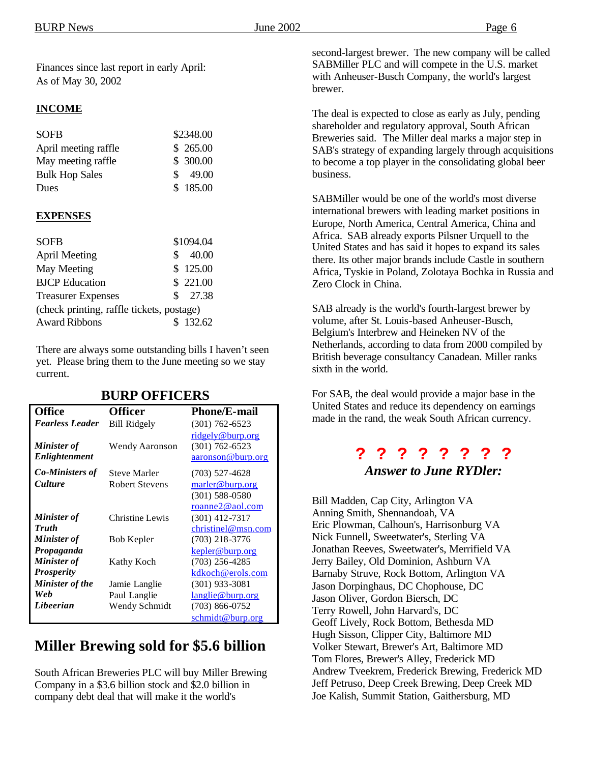Finances since last report in early April: As of May 30, 2002

#### **INCOME**

| <b>SOFB</b>           | \$2348.00              |
|-----------------------|------------------------|
| April meeting raffle  | \$265.00               |
| May meeting raffle.   | \$ 300.00              |
| <b>Bulk Hop Sales</b> | 49.00<br>$\mathcal{S}$ |
| Dues                  | \$185.00               |

#### **EXPENSES**

| <b>SOFB</b>                               |    | \$1094.04 |
|-------------------------------------------|----|-----------|
| <b>April Meeting</b>                      | S. | 40.00     |
| <b>May Meeting</b>                        |    | \$125.00  |
| <b>BJCP</b> Education                     |    | \$221.00  |
| <b>Treasurer Expenses</b>                 |    | \$27.38   |
| (check printing, raffle tickets, postage) |    |           |
| <b>Award Ribbons</b>                      |    | \$132.62  |

There are always some outstanding bills I haven't seen yet. Please bring them to the June meeting so we stay current.

| <b>Office</b>          | <b>Officer</b>        | <b>Phone/E-mail</b> |
|------------------------|-----------------------|---------------------|
| <b>Fearless Leader</b> | <b>Bill Ridgely</b>   | $(301)$ 762-6523    |
|                        |                       | ridgely@burp.org    |
| <b>Minister</b> of     | Wendy Aaronson        | $(301) 762 - 6523$  |
| Enlightenment          |                       | aaronson@burp.org   |
| <b>Co-Ministers of</b> | <b>Steve Marler</b>   | (703) 527-4628      |
| <b>Culture</b>         | <b>Robert Stevens</b> | marler@burp.org     |
|                        |                       | $(301) 588 - 0580$  |
|                        |                       | roanne2@aol.com     |
| <b>Minister</b> of     | Christine Lewis       | $(301)$ 412-7317    |
| <b>Truth</b>           |                       | christinel@msn.com  |
| <b>Minister</b> of     | Bob Kepler            | (703) 218-3776      |
| Propaganda             |                       | kepler@burp.org     |
| <b>Minister of</b>     | Kathy Koch            | $(703)$ 256-4285    |
| <b>Prosperity</b>      |                       | kdkoch@erols.com    |
| <b>Minister of the</b> | Jamie Langlie         | $(301)$ 933-3081    |
| Web                    | Paul Langlie          | langlie@burp.org    |
| Libeerian              | Wendy Schmidt         | $(703)$ 866-0752    |
|                        |                       | schmidt@burp.org    |

#### **BURP OFFICERS**

### **Miller Brewing sold for \$5.6 billion**

South African Breweries PLC will buy Miller Brewing Company in a \$3.6 billion stock and \$2.0 billion in company debt deal that will make it the world's

second-largest brewer. The new company will be called SABMiller PLC and will compete in the U.S. market with Anheuser-Busch Company, the world's largest brewer.

The deal is expected to close as early as July, pending shareholder and regulatory approval, South African Breweries said. The Miller deal marks a major step in SAB's strategy of expanding largely through acquisitions to become a top player in the consolidating global beer business.

SABMiller would be one of the world's most diverse international brewers with leading market positions in Europe, North America, Central America, China and Africa. SAB already exports Pilsner Urquell to the United States and has said it hopes to expand its sales there. Its other major brands include Castle in southern Africa, Tyskie in Poland, Zolotaya Bochka in Russia and Zero Clock in China.

SAB already is the world's fourth-largest brewer by volume, after St. Louis-based Anheuser-Busch, Belgium's Interbrew and Heineken NV of the Netherlands, according to data from 2000 compiled by British beverage consultancy Canadean. Miller ranks sixth in the world.

For SAB, the deal would provide a major base in the United States and reduce its dependency on earnings made in the rand, the weak South African currency.

### **? ? ? ? ? ? ? ?**  *Answer to June RYDler:*

Bill Madden, Cap City, Arlington VA Anning Smith, Shennandoah, VA Eric Plowman, Calhoun's, Harrisonburg VA Nick Funnell, Sweetwater's, Sterling VA Jonathan Reeves, Sweetwater's, Merrifield VA Jerry Bailey, Old Dominion, Ashburn VA Barnaby Struve, Rock Bottom, Arlington VA Jason Dorpinghaus, DC Chophouse, DC Jason Oliver, Gordon Biersch, DC Terry Rowell, John Harvard's, DC Geoff Lively, Rock Bottom, Bethesda MD Hugh Sisson, Clipper City, Baltimore MD Volker Stewart, Brewer's Art, Baltimore MD Tom Flores, Brewer's Alley, Frederick MD Andrew Tveekrem, Frederick Brewing, Frederick MD Jeff Petruso, Deep Creek Brewing, Deep Creek MD Joe Kalish, Summit Station, Gaithersburg, MD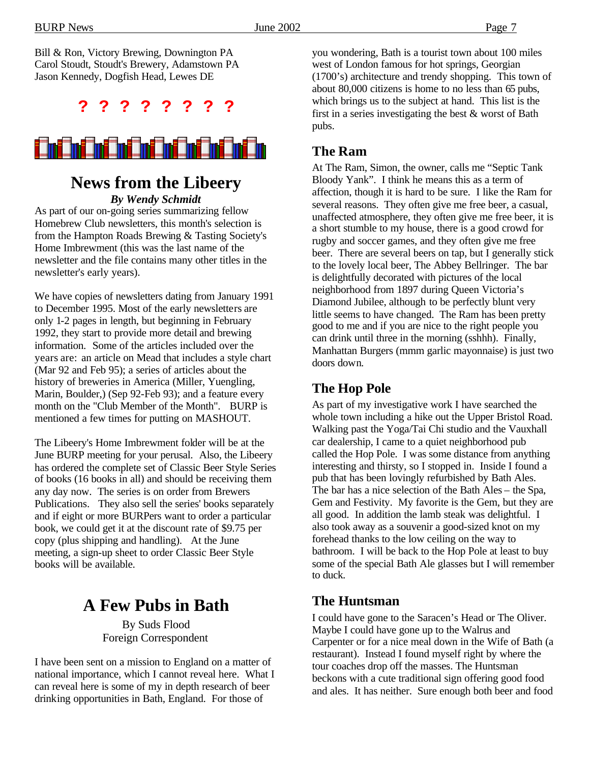Bill & Ron, Victory Brewing, Downington PA Carol Stoudt, Stoudt's Brewery, Adamstown PA Jason Kennedy, Dogfish Head, Lewes DE

**? ? ? ? ? ? ? ?** 



### **News from the Libeery** *By Wendy Schmidt*

As part of our on-going series summarizing fellow Homebrew Club newsletters, this month's selection is from the Hampton Roads Brewing & Tasting Society's Home Imbrewment (this was the last name of the newsletter and the file contains many other titles in the newsletter's early years).

We have copies of newsletters dating from January 1991 to December 1995. Most of the early newsletters are only 1-2 pages in length, but beginning in February 1992, they start to provide more detail and brewing information. Some of the articles included over the years are: an article on Mead that includes a style chart (Mar 92 and Feb 95); a series of articles about the history of breweries in America (Miller, Yuengling, Marin, Boulder,) (Sep 92-Feb 93); and a feature every month on the "Club Member of the Month". BURP is mentioned a few times for putting on MASHOUT.

The Libeery's Home Imbrewment folder will be at the June BURP meeting for your perusal. Also, the Libeery has ordered the complete set of Classic Beer Style Series of books (16 books in all) and should be receiving them any day now. The series is on order from Brewers Publications. They also sell the series' books separately and if eight or more BURPers want to order a particular book, we could get it at the discount rate of \$9.75 per copy (plus shipping and handling). At the June meeting, a sign-up sheet to order Classic Beer Style books will be available.

# **A Few Pubs in Bath**

By Suds Flood Foreign Correspondent

I have been sent on a mission to England on a matter of national importance, which I cannot reveal here. What I can reveal here is some of my in depth research of beer drinking opportunities in Bath, England. For those of

you wondering, Bath is a tourist town about 100 miles west of London famous for hot springs, Georgian (1700's) architecture and trendy shopping. This town of about 80,000 citizens is home to no less than 65 pubs, which brings us to the subject at hand. This list is the first in a series investigating the best & worst of Bath pubs.

### **The Ram**

At The Ram, Simon, the owner, calls me "Septic Tank Bloody Yank". I think he means this as a term of affection, though it is hard to be sure. I like the Ram for several reasons. They often give me free beer, a casual, unaffected atmosphere, they often give me free beer, it is a short stumble to my house, there is a good crowd for rugby and soccer games, and they often give me free beer. There are several beers on tap, but I generally stick to the lovely local beer, The Abbey Bellringer. The bar is delightfully decorated with pictures of the local neighborhood from 1897 during Queen Victoria's Diamond Jubilee, although to be perfectly blunt very little seems to have changed. The Ram has been pretty good to me and if you are nice to the right people you can drink until three in the morning (sshhh). Finally, Manhattan Burgers (mmm garlic mayonnaise) is just two doors down.

### **The Hop Pole**

As part of my investigative work I have searched the whole town including a hike out the Upper Bristol Road. Walking past the Yoga/Tai Chi studio and the Vauxhall car dealership, I came to a quiet neighborhood pub called the Hop Pole. I was some distance from anything interesting and thirsty, so I stopped in. Inside I found a pub that has been lovingly refurbished by Bath Ales. The bar has a nice selection of the Bath Ales – the Spa, Gem and Festivity. My favorite is the Gem, but they are all good. In addition the lamb steak was delightful. I also took away as a souvenir a good-sized knot on my forehead thanks to the low ceiling on the way to bathroom. I will be back to the Hop Pole at least to buy some of the special Bath Ale glasses but I will remember to duck.

### **The Huntsman**

I could have gone to the Saracen's Head or The Oliver. Maybe I could have gone up to the Walrus and Carpenter or for a nice meal down in the Wife of Bath (a restaurant). Instead I found myself right by where the tour coaches drop off the masses. The Huntsman beckons with a cute traditional sign offering good food and ales. It has neither. Sure enough both beer and food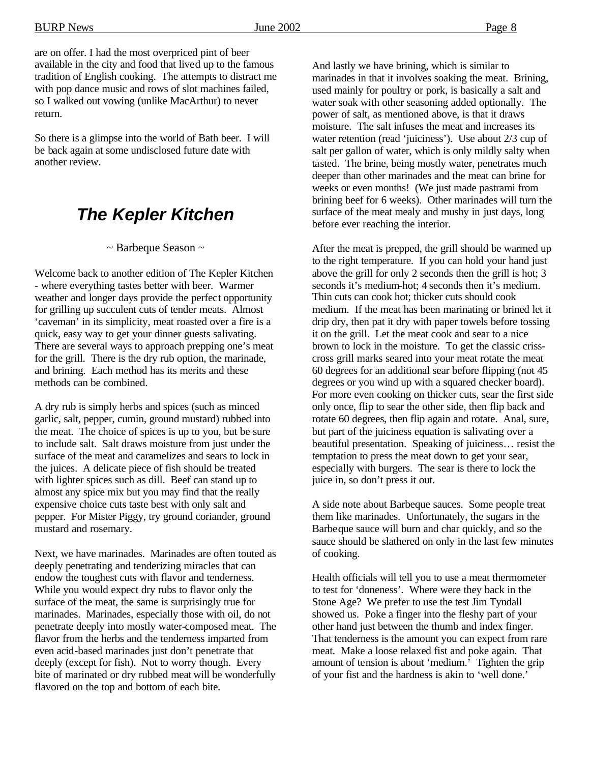are on offer. I had the most overpriced pint of beer available in the city and food that lived up to the famous tradition of English cooking. The attempts to distract me with pop dance music and rows of slot machines failed, so I walked out vowing (unlike MacArthur) to never return.

So there is a glimpse into the world of Bath beer. I will be back again at some undisclosed future date with another review.

# *The Kepler Kitchen*

### ~ Barbeque Season ~

Welcome back to another edition of The Kepler Kitchen - where everything tastes better with beer. Warmer weather and longer days provide the perfect opportunity for grilling up succulent cuts of tender meats. Almost 'caveman' in its simplicity, meat roasted over a fire is a quick, easy way to get your dinner guests salivating. There are several ways to approach prepping one's meat for the grill. There is the dry rub option, the marinade, and brining. Each method has its merits and these methods can be combined.

A dry rub is simply herbs and spices (such as minced garlic, salt, pepper, cumin, ground mustard) rubbed into the meat. The choice of spices is up to you, but be sure to include salt. Salt draws moisture from just under the surface of the meat and caramelizes and sears to lock in the juices. A delicate piece of fish should be treated with lighter spices such as dill. Beef can stand up to almost any spice mix but you may find that the really expensive choice cuts taste best with only salt and pepper. For Mister Piggy, try ground coriander, ground mustard and rosemary.

Next, we have marinades. Marinades are often touted as deeply penetrating and tenderizing miracles that can endow the toughest cuts with flavor and tenderness. While you would expect dry rubs to flavor only the surface of the meat, the same is surprisingly true for marinades. Marinades, especially those with oil, do not penetrate deeply into mostly water-composed meat. The flavor from the herbs and the tenderness imparted from even acid-based marinades just don't penetrate that deeply (except for fish). Not to worry though. Every bite of marinated or dry rubbed meat will be wonderfully flavored on the top and bottom of each bite.

And lastly we have brining, which is similar to marinades in that it involves soaking the meat. Brining, used mainly for poultry or pork, is basically a salt and water soak with other seasoning added optionally. The power of salt, as mentioned above, is that it draws moisture. The salt infuses the meat and increases its water retention (read 'juiciness'). Use about 2/3 cup of salt per gallon of water, which is only mildly salty when tasted. The brine, being mostly water, penetrates much deeper than other marinades and the meat can brine for weeks or even months! (We just made pastrami from brining beef for 6 weeks). Other marinades will turn the surface of the meat mealy and mushy in just days, long before ever reaching the interior.

After the meat is prepped, the grill should be warmed up to the right temperature. If you can hold your hand just above the grill for only 2 seconds then the grill is hot; 3 seconds it's medium-hot; 4 seconds then it's medium. Thin cuts can cook hot; thicker cuts should cook medium. If the meat has been marinating or brined let it drip dry, then pat it dry with paper towels before tossing it on the grill. Let the meat cook and sear to a nice brown to lock in the moisture. To get the classic crisscross grill marks seared into your meat rotate the meat 60 degrees for an additional sear before flipping (not 45 degrees or you wind up with a squared checker board). For more even cooking on thicker cuts, sear the first side only once, flip to sear the other side, then flip back and rotate 60 degrees, then flip again and rotate. Anal, sure, but part of the juiciness equation is salivating over a beautiful presentation. Speaking of juiciness… resist the temptation to press the meat down to get your sear, especially with burgers. The sear is there to lock the juice in, so don't press it out.

A side note about Barbeque sauces. Some people treat them like marinades. Unfortunately, the sugars in the Barbeque sauce will burn and char quickly, and so the sauce should be slathered on only in the last few minutes of cooking.

Health officials will tell you to use a meat thermometer to test for 'doneness'. Where were they back in the Stone Age? We prefer to use the test Jim Tyndall showed us. Poke a finger into the fleshy part of your other hand just between the thumb and index finger. That tenderness is the amount you can expect from rare meat. Make a loose relaxed fist and poke again. That amount of tension is about 'medium.' Tighten the grip of your fist and the hardness is akin to 'well done.'